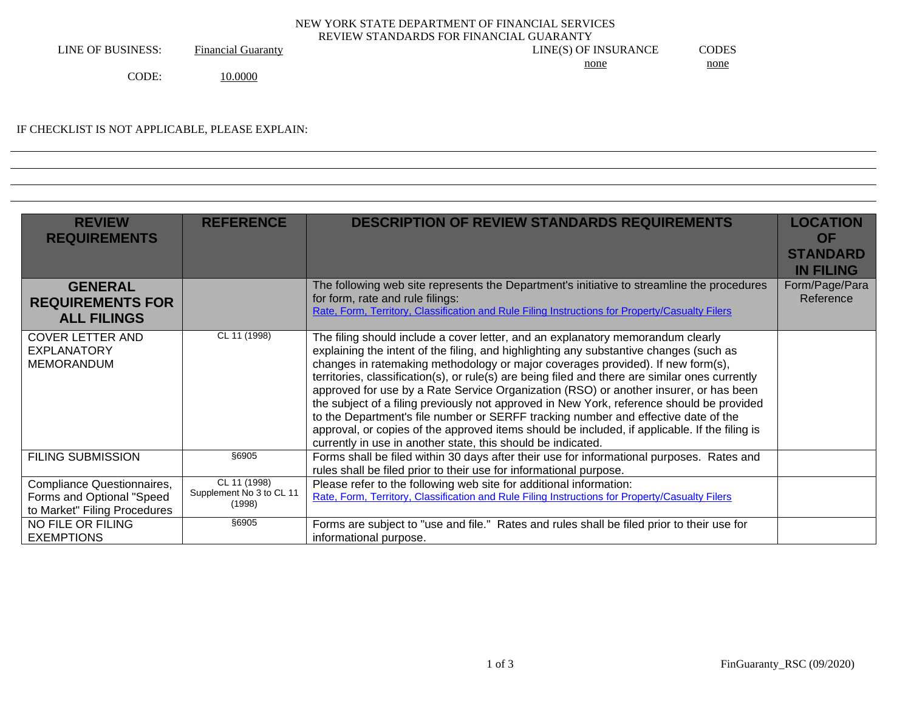## NEW YORK STATE DEPARTMENT OF FINANCIAL SERVICES REVIEW STANDARDS FOR FINANCIAL GUARANTY

LINE OF BUSINESS: Financial Guaranty LINE(S) OF INSURANCE CODES none none

CODE: 10.0000

## IF CHECKLIST IS NOT APPLICABLE, PLEASE EXPLAIN:

| <b>REVIEW</b><br><b>REQUIREMENTS</b>                                                    | <b>REFERENCE</b>                                   | <b>DESCRIPTION OF REVIEW STANDARDS REQUIREMENTS</b>                                                                                                                                                                                                                                                                                                                                                                                                                                                                                                                                                                                                                                                                                                                                                          | <b>LOCATION</b><br><b>OF</b><br><b>STANDARD</b><br><b>IN FILING</b> |
|-----------------------------------------------------------------------------------------|----------------------------------------------------|--------------------------------------------------------------------------------------------------------------------------------------------------------------------------------------------------------------------------------------------------------------------------------------------------------------------------------------------------------------------------------------------------------------------------------------------------------------------------------------------------------------------------------------------------------------------------------------------------------------------------------------------------------------------------------------------------------------------------------------------------------------------------------------------------------------|---------------------------------------------------------------------|
| <b>GENERAL</b><br><b>REQUIREMENTS FOR</b><br><b>ALL FILINGS</b>                         |                                                    | The following web site represents the Department's initiative to streamline the procedures<br>for form, rate and rule filings:<br>Rate, Form, Territory, Classification and Rule Filing Instructions for Property/Casualty Filers                                                                                                                                                                                                                                                                                                                                                                                                                                                                                                                                                                            | Form/Page/Para<br>Reference                                         |
| <b>COVER LETTER AND</b><br><b>EXPLANATORY</b><br><b>MEMORANDUM</b>                      | CL 11 (1998)                                       | The filing should include a cover letter, and an explanatory memorandum clearly<br>explaining the intent of the filing, and highlighting any substantive changes (such as<br>changes in ratemaking methodology or major coverages provided). If new form(s),<br>territories, classification(s), or rule(s) are being filed and there are similar ones currently<br>approved for use by a Rate Service Organization (RSO) or another insurer, or has been<br>the subject of a filing previously not approved in New York, reference should be provided<br>to the Department's file number or SERFF tracking number and effective date of the<br>approval, or copies of the approved items should be included, if applicable. If the filing is<br>currently in use in another state, this should be indicated. |                                                                     |
| <b>FILING SUBMISSION</b>                                                                | §6905                                              | Forms shall be filed within 30 days after their use for informational purposes. Rates and<br>rules shall be filed prior to their use for informational purpose.                                                                                                                                                                                                                                                                                                                                                                                                                                                                                                                                                                                                                                              |                                                                     |
| Compliance Questionnaires,<br>Forms and Optional "Speed<br>to Market" Filing Procedures | CL 11 (1998)<br>Supplement No 3 to CL 11<br>(1998) | Please refer to the following web site for additional information:<br>Rate, Form, Territory, Classification and Rule Filing Instructions for Property/Casualty Filers                                                                                                                                                                                                                                                                                                                                                                                                                                                                                                                                                                                                                                        |                                                                     |
| NO FILE OR FILING<br><b>EXEMPTIONS</b>                                                  | \$6905                                             | Forms are subject to "use and file." Rates and rules shall be filed prior to their use for<br>informational purpose.                                                                                                                                                                                                                                                                                                                                                                                                                                                                                                                                                                                                                                                                                         |                                                                     |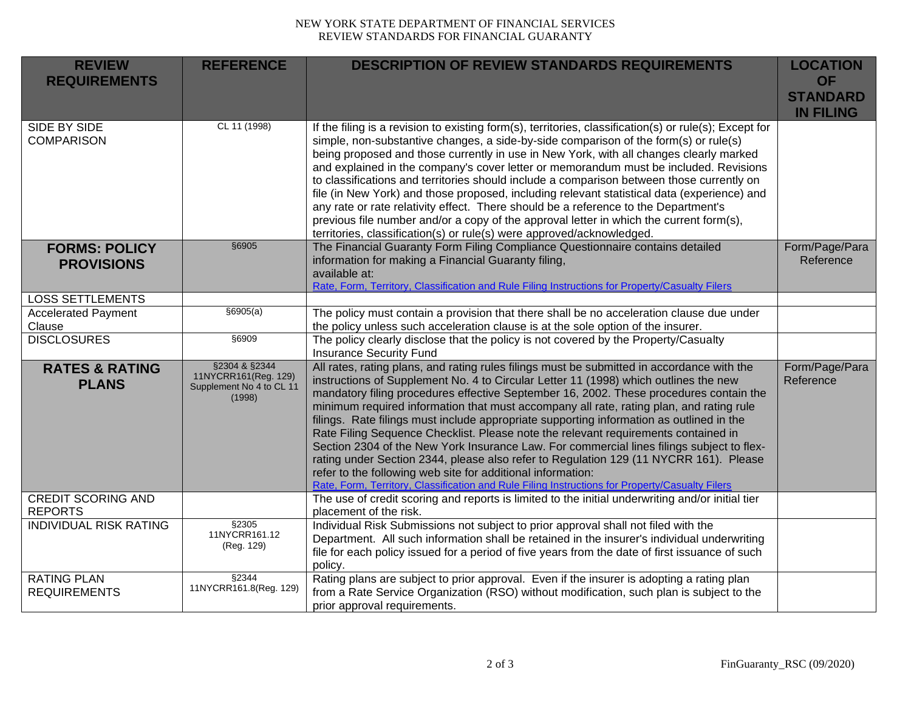## NEW YORK STATE DEPARTMENT OF FINANCIAL SERVICES REVIEW STANDARDS FOR FINANCIAL GUARANTY

| <b>REVIEW</b><br><b>REQUIREMENTS</b>        | <b>REFERENCE</b>                                                            | <b>DESCRIPTION OF REVIEW STANDARDS REQUIREMENTS</b>                                                                                                                                                                                                                                                                                                                                                                                                                                                                                                                                                                                                                                                                                                                                                                                                                                                               | <b>LOCATION</b><br><b>OF</b><br><b>STANDARD</b><br><b>IN FILING</b> |
|---------------------------------------------|-----------------------------------------------------------------------------|-------------------------------------------------------------------------------------------------------------------------------------------------------------------------------------------------------------------------------------------------------------------------------------------------------------------------------------------------------------------------------------------------------------------------------------------------------------------------------------------------------------------------------------------------------------------------------------------------------------------------------------------------------------------------------------------------------------------------------------------------------------------------------------------------------------------------------------------------------------------------------------------------------------------|---------------------------------------------------------------------|
| <b>SIDE BY SIDE</b><br><b>COMPARISON</b>    | CL 11 (1998)                                                                | If the filing is a revision to existing form(s), territories, classification(s) or rule(s); Except for<br>simple, non-substantive changes, a side-by-side comparison of the form(s) or rule(s)<br>being proposed and those currently in use in New York, with all changes clearly marked<br>and explained in the company's cover letter or memorandum must be included. Revisions<br>to classifications and territories should include a comparison between those currently on<br>file (in New York) and those proposed, including relevant statistical data (experience) and<br>any rate or rate relativity effect. There should be a reference to the Department's<br>previous file number and/or a copy of the approval letter in which the current form(s),<br>territories, classification(s) or rule(s) were approved/acknowledged.                                                                          |                                                                     |
| <b>FORMS: POLICY</b><br><b>PROVISIONS</b>   | §6905                                                                       | The Financial Guaranty Form Filing Compliance Questionnaire contains detailed<br>information for making a Financial Guaranty filing,<br>available at:<br>Rate, Form, Territory, Classification and Rule Filing Instructions for Property/Casualty Filers                                                                                                                                                                                                                                                                                                                                                                                                                                                                                                                                                                                                                                                          | Form/Page/Para<br>Reference                                         |
| <b>LOSS SETTLEMENTS</b>                     |                                                                             |                                                                                                                                                                                                                                                                                                                                                                                                                                                                                                                                                                                                                                                                                                                                                                                                                                                                                                                   |                                                                     |
| <b>Accelerated Payment</b><br>Clause        | \$6905(a)                                                                   | The policy must contain a provision that there shall be no acceleration clause due under<br>the policy unless such acceleration clause is at the sole option of the insurer.                                                                                                                                                                                                                                                                                                                                                                                                                                                                                                                                                                                                                                                                                                                                      |                                                                     |
| <b>DISCLOSURES</b>                          | \$6909                                                                      | The policy clearly disclose that the policy is not covered by the Property/Casualty<br><b>Insurance Security Fund</b>                                                                                                                                                                                                                                                                                                                                                                                                                                                                                                                                                                                                                                                                                                                                                                                             |                                                                     |
| <b>RATES &amp; RATING</b><br><b>PLANS</b>   | §2304 & §2344<br>11NYCRR161(Reg. 129)<br>Supplement No 4 to CL 11<br>(1998) | All rates, rating plans, and rating rules filings must be submitted in accordance with the<br>instructions of Supplement No. 4 to Circular Letter 11 (1998) which outlines the new<br>mandatory filing procedures effective September 16, 2002. These procedures contain the<br>minimum required information that must accompany all rate, rating plan, and rating rule<br>filings. Rate filings must include appropriate supporting information as outlined in the<br>Rate Filing Sequence Checklist. Please note the relevant requirements contained in<br>Section 2304 of the New York Insurance Law. For commercial lines filings subject to flex-<br>rating under Section 2344, please also refer to Regulation 129 (11 NYCRR 161). Please<br>refer to the following web site for additional information:<br>Rate, Form, Territory, Classification and Rule Filing Instructions for Property/Casualty Filers | Form/Page/Para<br>Reference                                         |
| <b>CREDIT SCORING AND</b><br><b>REPORTS</b> |                                                                             | The use of credit scoring and reports is limited to the initial underwriting and/or initial tier<br>placement of the risk.                                                                                                                                                                                                                                                                                                                                                                                                                                                                                                                                                                                                                                                                                                                                                                                        |                                                                     |
| <b>INDIVIDUAL RISK RATING</b>               | §2305<br>11NYCRR161.12<br>(Reg. 129)                                        | Individual Risk Submissions not subject to prior approval shall not filed with the<br>Department. All such information shall be retained in the insurer's individual underwriting<br>file for each policy issued for a period of five years from the date of first issuance of such<br>policy.                                                                                                                                                                                                                                                                                                                                                                                                                                                                                                                                                                                                                    |                                                                     |
| <b>RATING PLAN</b><br><b>REQUIREMENTS</b>   | §2344<br>11NYCRR161.8(Reg. 129)                                             | Rating plans are subject to prior approval. Even if the insurer is adopting a rating plan<br>from a Rate Service Organization (RSO) without modification, such plan is subject to the<br>prior approval requirements.                                                                                                                                                                                                                                                                                                                                                                                                                                                                                                                                                                                                                                                                                             |                                                                     |